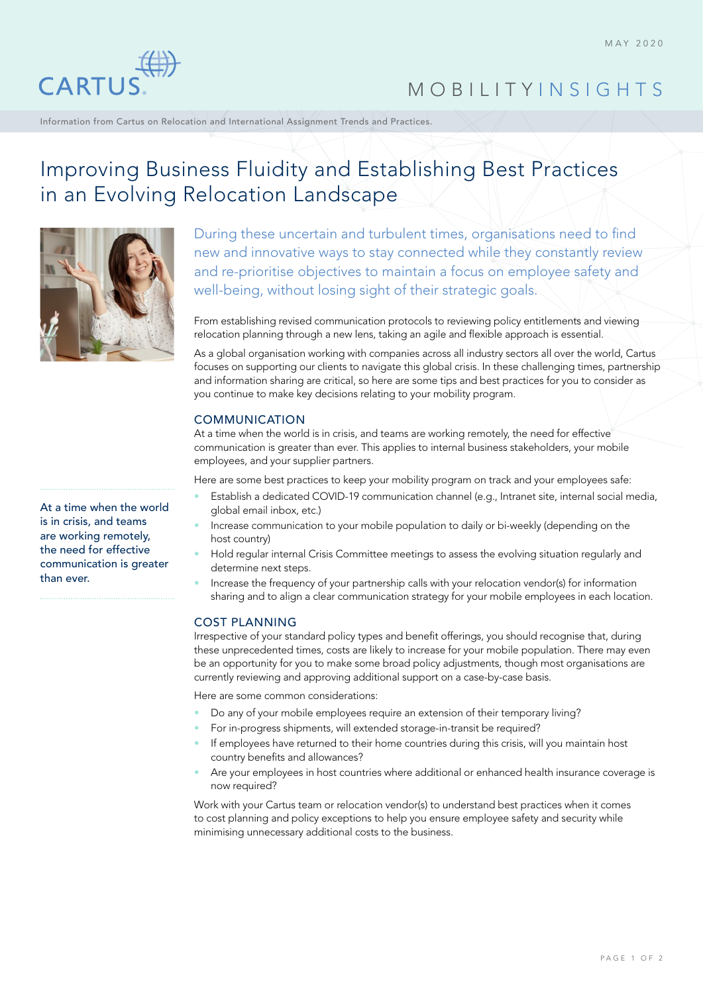

# MOBILITY INSIGHTS

Information from Cartus on Relocation and International Assignment Trends and Practices.

# Improving Business Fluidity and Establishing Best Practices in an Evolving Relocation Landscape



At a time when the world is in crisis, and teams are working remotely, the need for effective communication is greater than ever.

During these uncertain and turbulent times, organisations need to find new and innovative ways to stay connected while they constantly review and re-prioritise objectives to maintain a focus on employee safety and well-being, without losing sight of their strategic goals.

From establishing revised communication protocols to reviewing policy entitlements and viewing relocation planning through a new lens, taking an agile and flexible approach is essential.

As a global organisation working with companies across all industry sectors all over the world, Cartus focuses on supporting our clients to navigate this global crisis. In these challenging times, partnership and information sharing are critical, so here are some tips and best practices for you to consider as you continue to make key decisions relating to your mobility program.

### COMMUNICATION

At a time when the world is in crisis, and teams are working remotely, the need for effective communication is greater than ever. This applies to internal business stakeholders, your mobile employees, and your supplier partners.

Here are some best practices to keep your mobility program on track and your employees safe:

- Establish a dedicated COVID-19 communication channel (e.g., Intranet site, internal social media, global email inbox, etc.)
- Increase communication to your mobile population to daily or bi-weekly (depending on the host country)
- Hold regular internal Crisis Committee meetings to assess the evolving situation regularly and determine next steps.
- Increase the frequency of your partnership calls with your relocation vendor(s) for information sharing and to align a clear communication strategy for your mobile employees in each location.

### COST PLANNING

Irrespective of your standard policy types and benefit offerings, you should recognise that, during these unprecedented times, costs are likely to increase for your mobile population. There may even be an opportunity for you to make some broad policy adjustments, though most organisations are currently reviewing and approving additional support on a case-by-case basis.

Here are some common considerations:

- Do any of your mobile employees require an extension of their temporary living?
- For in-progress shipments, will extended storage-in-transit be required?
- If employees have returned to their home countries during this crisis, will you maintain host country benefits and allowances?
- Are your employees in host countries where additional or enhanced health insurance coverage is now required?

Work with your Cartus team or relocation vendor(s) to understand best practices when it comes to cost planning and policy exceptions to help you ensure employee safety and security while minimising unnecessary additional costs to the business.